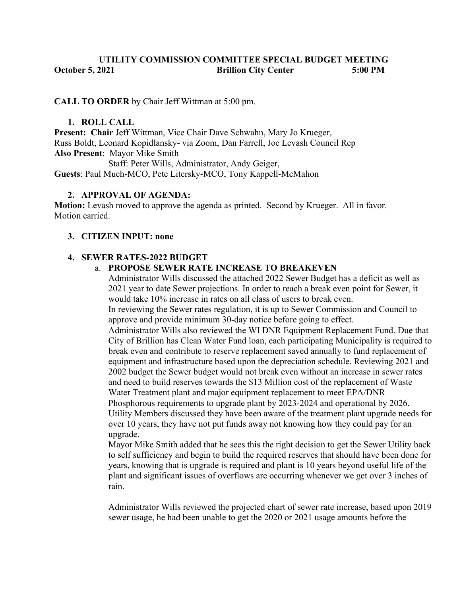## UTILITY COMMISSION COMMITTEE SPECIAL BUDGET MEETING October 5, 2021 Brillion City Center 5:00 PM

## CALL TO ORDER by Chair Jeff Wittman at 5:00 pm.

### 1. ROLL CALL

Present: Chair Jeff Wittman, Vice Chair Dave Schwahn, Mary Jo Krueger, Russ Boldt, Leonard Kopidlansky- via Zoom, Dan Farrell, Joe Levash Council Rep Also Present: Mayor Mike Smith

Staff: Peter Wills, Administrator, Andy Geiger,

Guests: Paul Much-MCO, Pete Litersky-MCO, Tony Kappell-McMahon

## 2. APPROVAL OF AGENDA:

Motion: Levash moved to approve the agenda as printed. Second by Krueger. All in favor. Motion carried.

## 3. CITIZEN INPUT: none

### 4. SEWER RATES-2022 BUDGET

### a. PROPOSE SEWER RATE INCREASE TO BREAKEVEN

Administrator Wills discussed the attached 2022 Sewer Budget has a deficit as well as 2021 year to date Sewer projections. In order to reach a break even point for Sewer, it would take 10% increase in rates on all class of users to break even.

In reviewing the Sewer rates regulation, it is up to Sewer Commission and Council to approve and provide minimum 30-day notice before going to effect.

Administrator Wills also reviewed the WI DNR Equipment Replacement Fund. Due that City of Brillion has Clean Water Fund loan, each participating Municipality is required to break even and contribute to reserve replacement saved annually to fund replacement of equipment and infrastructure based upon the depreciation schedule. Reviewing 2021 and 2002 budget the Sewer budget would not break even without an increase in sewer rates and need to build reserves towards the \$13 Million cost of the replacement of Waste Water Treatment plant and major equipment replacement to meet EPA/DNR Phosphorous requirements to upgrade plant by 2023-2024 and operational by 2026. Utility Members discussed they have been aware of the treatment plant upgrade needs for over 10 years, they have not put funds away not knowing how they could pay for an upgrade.

Mayor Mike Smith added that he sees this the right decision to get the Sewer Utility back to self sufficiency and begin to build the required reserves that should have been done for years, knowing that is upgrade is required and plant is 10 years beyond useful life of the plant and significant issues of overflows are occurring whenever we get over 3 inches of rain.

Administrator Wills reviewed the projected chart of sewer rate increase, based upon 2019 sewer usage, he had been unable to get the 2020 or 2021 usage amounts before the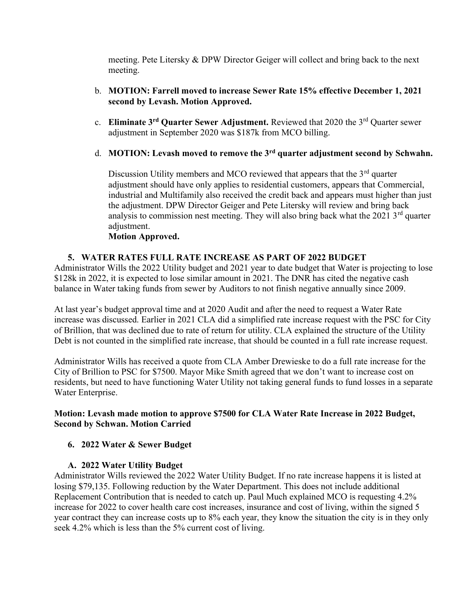meeting. Pete Litersky & DPW Director Geiger will collect and bring back to the next meeting.

- b. MOTION: Farrell moved to increase Sewer Rate 15% effective December 1, 2021 second by Levash. Motion Approved.
- c. Eliminate  $3<sup>rd</sup>$  Ouarter Sewer Adjustment. Reviewed that 2020 the  $3<sup>rd</sup>$  Ouarter sewer adjustment in September 2020 was \$187k from MCO billing.
- d. MOTION: Levash moved to remove the  $3<sup>rd</sup>$  quarter adjustment second by Schwahn.

Discussion Utility members and MCO reviewed that appears that the  $3<sup>rd</sup>$  quarter adjustment should have only applies to residential customers, appears that Commercial, industrial and Multifamily also received the credit back and appears must higher than just the adjustment. DPW Director Geiger and Pete Litersky will review and bring back analysis to commission nest meeting. They will also bring back what the  $2021$  3<sup>rd</sup> quarter adjustment.

## Motion Approved.

# 5. WATER RATES FULL RATE INCREASE AS PART OF 2022 BUDGET

Administrator Wills the 2022 Utility budget and 2021 year to date budget that Water is projecting to lose \$128k in 2022, it is expected to lose similar amount in 2021. The DNR has cited the negative cash balance in Water taking funds from sewer by Auditors to not finish negative annually since 2009.

At last year's budget approval time and at 2020 Audit and after the need to request a Water Rate increase was discussed. Earlier in 2021 CLA did a simplified rate increase request with the PSC for City of Brillion, that was declined due to rate of return for utility. CLA explained the structure of the Utility Debt is not counted in the simplified rate increase, that should be counted in a full rate increase request.

Administrator Wills has received a quote from CLA Amber Drewieske to do a full rate increase for the City of Brillion to PSC for \$7500. Mayor Mike Smith agreed that we don't want to increase cost on residents, but need to have functioning Water Utility not taking general funds to fund losses in a separate Water Enterprise.

# Motion: Levash made motion to approve \$7500 for CLA Water Rate Increase in 2022 Budget, Second by Schwan. Motion Carried

# 6. 2022 Water & Sewer Budget

# A. 2022 Water Utility Budget

Administrator Wills reviewed the 2022 Water Utility Budget. If no rate increase happens it is listed at losing \$79,135. Following reduction by the Water Department. This does not include additional Replacement Contribution that is needed to catch up. Paul Much explained MCO is requesting 4.2% increase for 2022 to cover health care cost increases, insurance and cost of living, within the signed 5 year contract they can increase costs up to 8% each year, they know the situation the city is in they only seek 4.2% which is less than the 5% current cost of living.